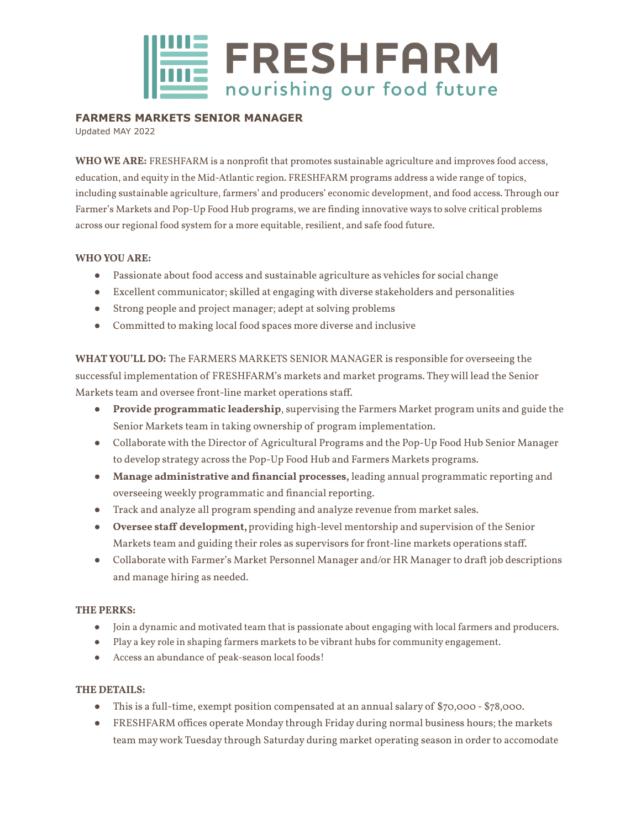

## **FARMERS MARKETS SENIOR MANAGER**

Updated MAY 2022

**WHO WE ARE:** FRESHFARM is a nonprofit that promotes sustainable agriculture and improves food access, education, and equity in the Mid-Atlantic region. FRESHFARM programs address a wide range of topics, including sustainable agriculture, farmers' and producers' economic development, and food access. Through our Farmer's Markets and Pop-Up Food Hub programs, we are finding innovative ways to solve critical problems across our regional food system for a more equitable, resilient, and safe food future.

### **WHO YOU ARE:**

- Passionate about food access and sustainable agriculture as vehicles for social change
- Excellent communicator; skilled at engaging with diverse stakeholders and personalities
- Strong people and project manager; adept at solving problems
- Committed to making local food spaces more diverse and inclusive

**WHATYOU'LL DO:** The FARMERS MARKETS SENIOR MANAGER is responsible for overseeing the successful implementation of FRESHFARM's markets and market programs. Theywill lead the Senior Markets team and oversee front-line market operations staff.

- *●* **Provide programmatic leadership**, supervising the Farmers Market program units and guide the Senior Markets team in taking ownership of program implementation.
- Collaborate with the Director of Agricultural Programs and the Pop-Up Food Hub Senior Manager to develop strategy across the Pop-Up Food Hub and Farmers Markets programs.
- **Manage administrative and financial processes,** leading annual programmatic reporting and overseeing weekly programmatic and financial reporting.
- Track and analyze all program spending and analyze revenue from market sales.
- **Oversee staff development,**providing high-level mentorship and supervision of the Senior Markets team and guiding their roles as supervisors for front-line markets operations staff.
- Collaborate with Farmer's Market Personnel Manager and/or HR Manager to draft job descriptions and manage hiring as needed.

## **THE PERKS:**

- Join a dynamic and motivated team that is passionate about engaging with local farmers and producers.
- Play a key role in shaping farmers markets to be vibrant hubs for community engagement.
- Access an abundance of peak-season local foods!

## **THE DETAILS:**

- This is a full-time, exempt position compensated at an annual salary of \$70,000 \$78,000.
- FRESHFARM offices operate Monday through Friday during normal business hours; the markets team maywork Tuesday through Saturday during market operating season in order to accomodate